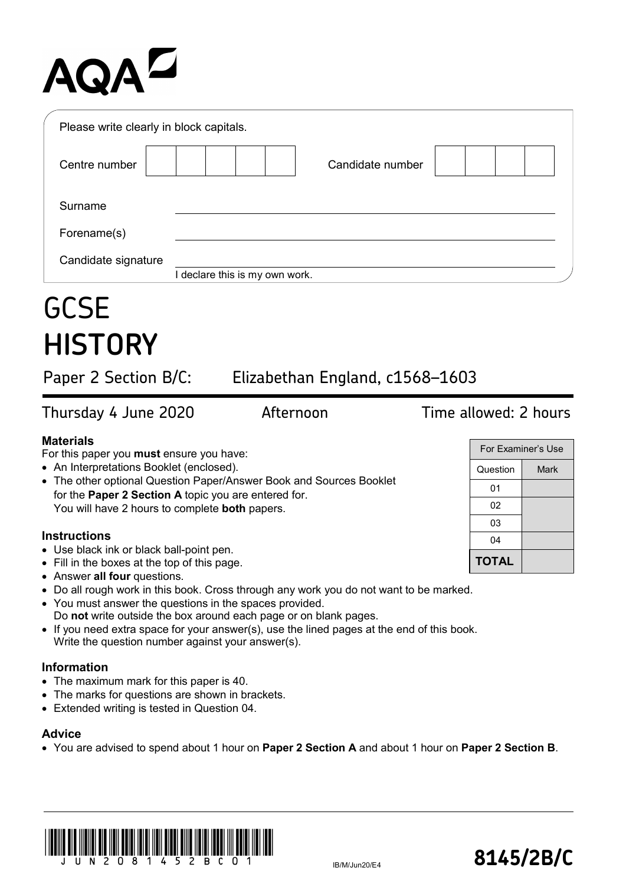# **AQA<sup>L</sup>**

| Please write clearly in block capitals. |                              |  |
|-----------------------------------------|------------------------------|--|
| Centre number                           | Candidate number             |  |
| Surname                                 |                              |  |
| Forename(s)                             |                              |  |
| Candidate signature                     |                              |  |
|                                         | declare this is my own work. |  |

## GCSE **HISTORY**

Paper 2 Section B/C: Elizabethan England, c1568-1603

Thursday 4 June 2020 Afternoon Time allowed: 2 hours

### **Materials**

For this paper you **must** ensure you have:

- An Interpretations Booklet (enclosed).
- The other optional Question Paper/Answer Book and Sources Booklet for the **Paper 2 Section A** topic you are entered for. You will have 2 hours to complete **both** papers.

#### **Instructions**

- Use black ink or black ball-point pen.
- Fill in the boxes at the top of this page.
- Answer **all four** questions.
- Do all rough work in this book. Cross through any work you do not want to be marked.
- You must answer the questions in the spaces provided.
- Do **not** write outside the box around each page or on blank pages.
- If you need extra space for your answer(s), use the lined pages at the end of this book. Write the question number against your answer(s).

#### **Information**

- The maximum mark for this paper is 40.
- The marks for questions are shown in brackets.
- Extended writing is tested in Question 04.

#### **Advice**

• You are advised to spend about 1 hour on **Paper 2 Section A** and about 1 hour on **Paper 2 Section B**.





| For Examiner's Use |      |
|--------------------|------|
| Question           | Mark |
| 01                 |      |
| 02                 |      |
| 03                 |      |
| 04                 |      |
| <b>TOTAL</b>       |      |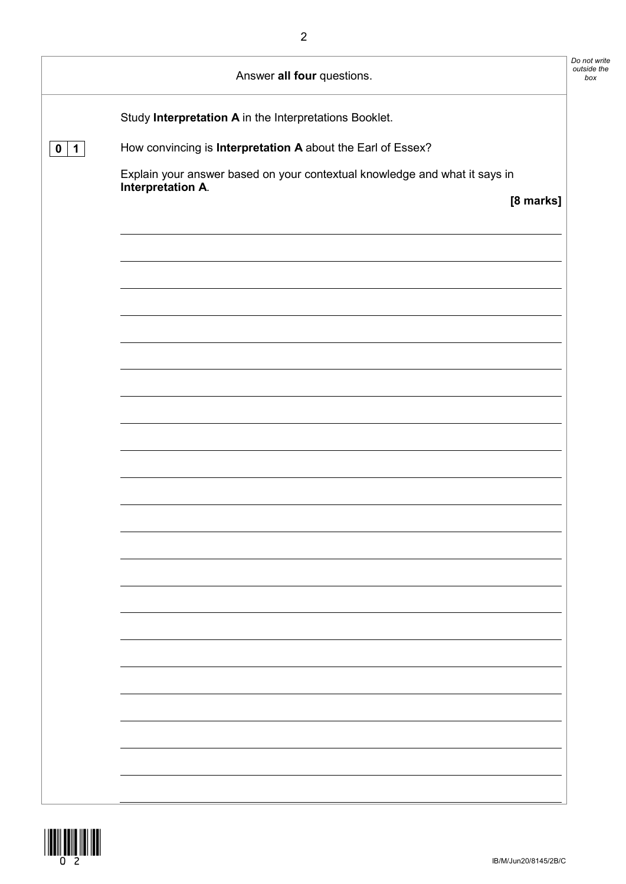|             | Answer all four questions.                                                                      |
|-------------|-------------------------------------------------------------------------------------------------|
|             | Study Interpretation A in the Interpretations Booklet.                                          |
| $\mathbf 1$ | How convincing is Interpretation A about the Earl of Essex?                                     |
|             | Explain your answer based on your contextual knowledge and what it says in<br>Interpretation A. |
|             | [8 marks]                                                                                       |
|             |                                                                                                 |
|             |                                                                                                 |
|             |                                                                                                 |
|             |                                                                                                 |
|             |                                                                                                 |
|             |                                                                                                 |
|             |                                                                                                 |
|             |                                                                                                 |
|             |                                                                                                 |
|             |                                                                                                 |
|             |                                                                                                 |
|             |                                                                                                 |
|             |                                                                                                 |
|             |                                                                                                 |
|             |                                                                                                 |
|             |                                                                                                 |
|             |                                                                                                 |
|             |                                                                                                 |
|             |                                                                                                 |
|             |                                                                                                 |
|             |                                                                                                 |

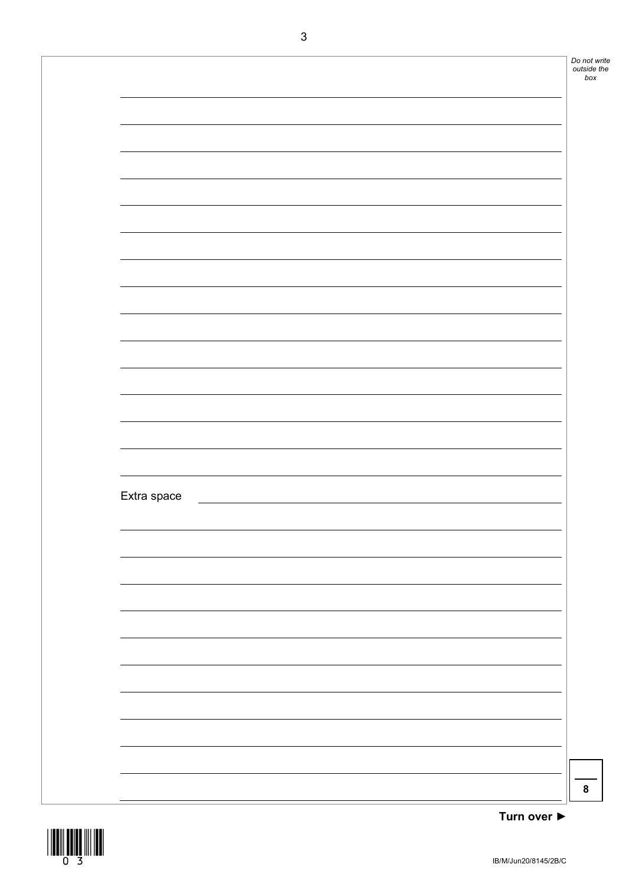| Extra space |  |  |  |
|-------------|--|--|--|
|             |  |  |  |
|             |  |  |  |
|             |  |  |  |
|             |  |  |  |
|             |  |  |  |
|             |  |  |  |
|             |  |  |  |
|             |  |  |  |
|             |  |  |  |
|             |  |  |  |
|             |  |  |  |
|             |  |  |  |
|             |  |  |  |
|             |  |  |  |

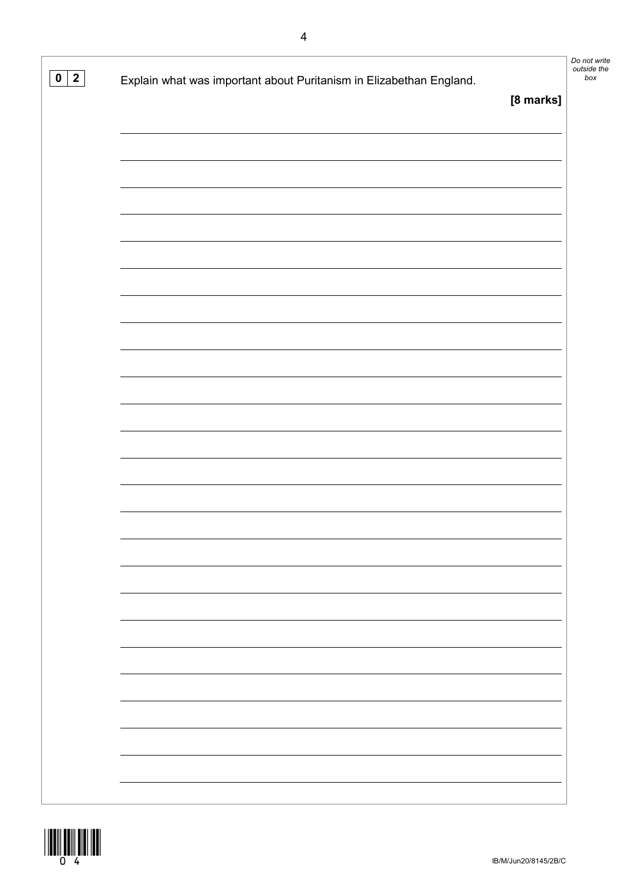| 2 <sub>1</sub><br>$\mathbf 0$ | Explain what was important about Puritanism in Elizabethan England. |           | Do not write<br>outside the<br>box |
|-------------------------------|---------------------------------------------------------------------|-----------|------------------------------------|
|                               |                                                                     | [8 marks] |                                    |
|                               |                                                                     |           |                                    |
|                               |                                                                     |           |                                    |
|                               |                                                                     |           |                                    |
|                               |                                                                     |           |                                    |
|                               |                                                                     |           |                                    |
|                               |                                                                     |           |                                    |
|                               |                                                                     |           |                                    |
|                               |                                                                     |           |                                    |
|                               |                                                                     |           |                                    |
|                               |                                                                     |           |                                    |
|                               |                                                                     |           |                                    |
|                               |                                                                     |           |                                    |
|                               |                                                                     |           |                                    |
|                               |                                                                     |           |                                    |
|                               |                                                                     |           |                                    |
|                               |                                                                     |           |                                    |
|                               |                                                                     |           |                                    |
|                               |                                                                     |           |                                    |
|                               |                                                                     |           |                                    |
|                               |                                                                     |           |                                    |
|                               |                                                                     |           |                                    |
|                               |                                                                     |           |                                    |

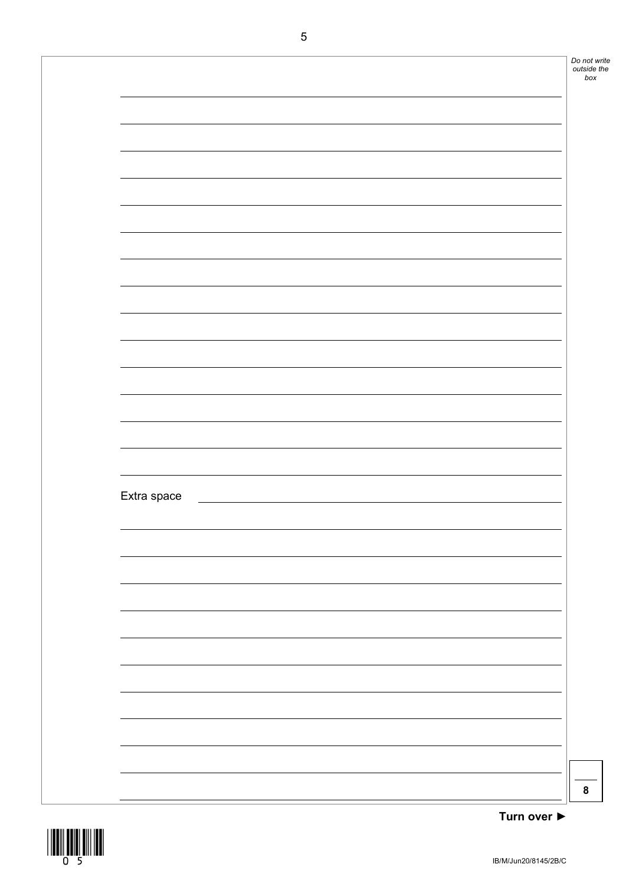| Extra space |  |  |  |
|-------------|--|--|--|
|             |  |  |  |
|             |  |  |  |
|             |  |  |  |
|             |  |  |  |
|             |  |  |  |
|             |  |  |  |
|             |  |  |  |
|             |  |  |  |
|             |  |  |  |
|             |  |  |  |
|             |  |  |  |
|             |  |  |  |
|             |  |  |  |

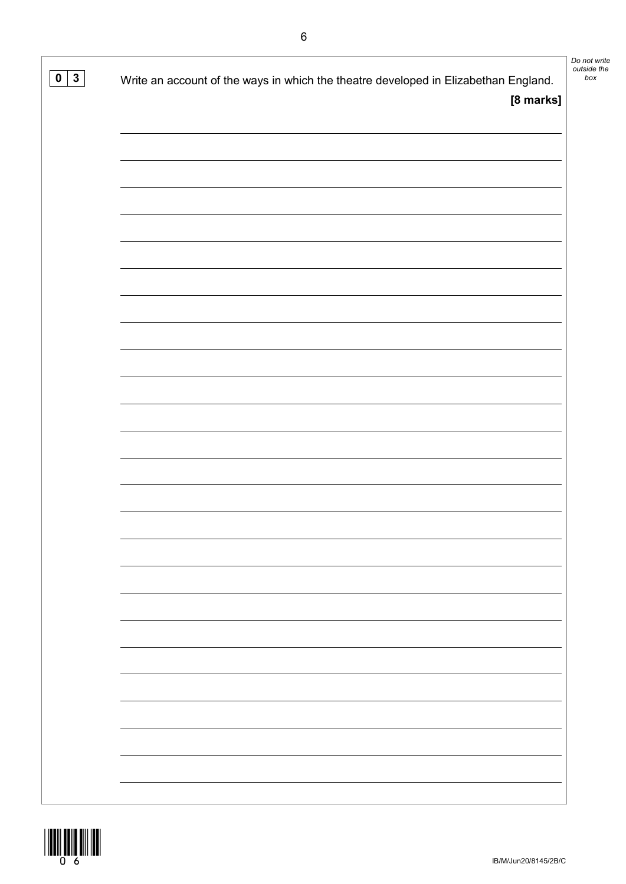| $\mathbf{3}$<br>$\mathbf 0$ |                                                                                     |           | Do not write<br>outside the<br>box |
|-----------------------------|-------------------------------------------------------------------------------------|-----------|------------------------------------|
|                             | Write an account of the ways in which the theatre developed in Elizabethan England. | [8 marks] |                                    |
|                             |                                                                                     |           |                                    |
|                             |                                                                                     |           |                                    |
|                             |                                                                                     |           |                                    |
|                             |                                                                                     |           |                                    |
|                             |                                                                                     |           |                                    |
|                             |                                                                                     |           |                                    |
|                             |                                                                                     |           |                                    |
|                             |                                                                                     |           |                                    |
|                             |                                                                                     |           |                                    |
|                             |                                                                                     |           |                                    |
|                             |                                                                                     |           |                                    |
|                             |                                                                                     |           |                                    |
|                             |                                                                                     |           |                                    |
|                             |                                                                                     |           |                                    |
|                             |                                                                                     |           |                                    |
|                             |                                                                                     |           |                                    |
|                             |                                                                                     |           |                                    |
|                             |                                                                                     |           |                                    |
|                             |                                                                                     |           |                                    |
|                             |                                                                                     |           |                                    |
|                             |                                                                                     |           |                                    |
|                             |                                                                                     |           |                                    |
|                             |                                                                                     |           |                                    |
|                             |                                                                                     |           |                                    |
|                             |                                                                                     |           |                                    |
|                             |                                                                                     |           |                                    |
|                             |                                                                                     |           |                                    |
|                             |                                                                                     |           |                                    |
|                             |                                                                                     |           |                                    |
|                             |                                                                                     |           |                                    |
|                             |                                                                                     |           |                                    |

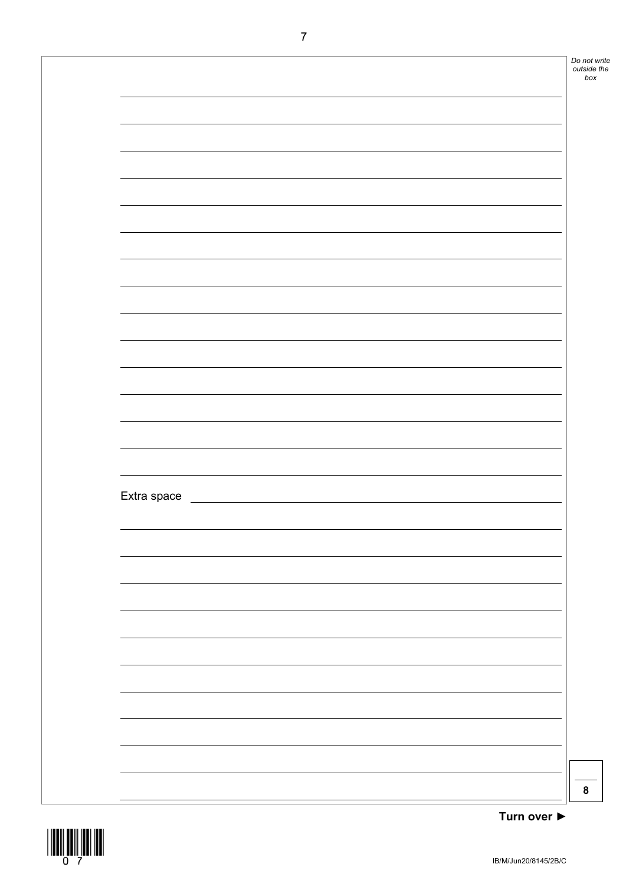| Extra space | <u> 1980 - Andrea Station, amerikan bizko eta politikaria (h. 1980).</u> |  |  |
|-------------|--------------------------------------------------------------------------|--|--|
|             |                                                                          |  |  |
|             |                                                                          |  |  |
|             |                                                                          |  |  |
|             |                                                                          |  |  |
|             |                                                                          |  |  |
|             |                                                                          |  |  |
|             |                                                                          |  |  |
|             |                                                                          |  |  |
|             |                                                                          |  |  |
|             |                                                                          |  |  |
|             |                                                                          |  |  |
|             |                                                                          |  |  |
|             |                                                                          |  |  |

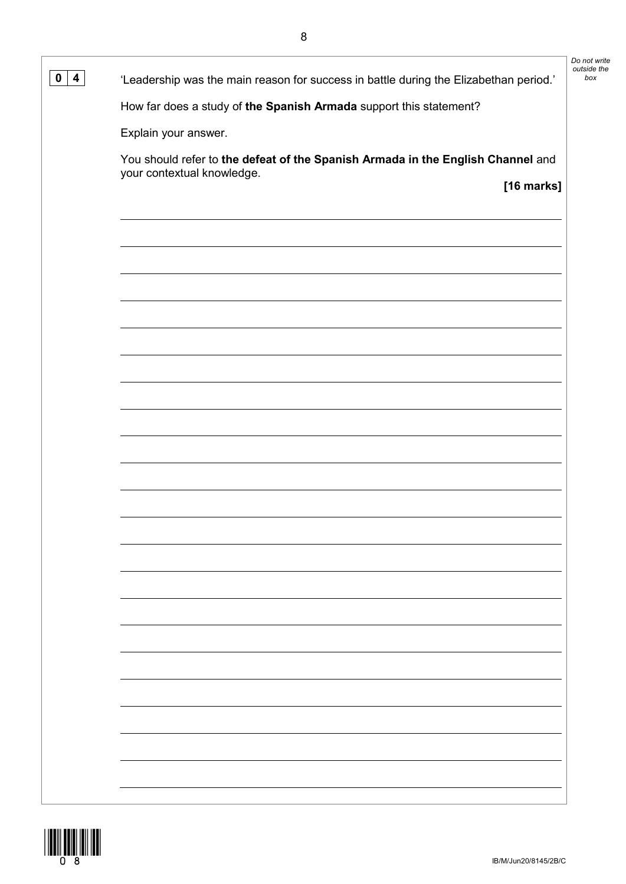|                         |                                                                                                               | Do not write       |
|-------------------------|---------------------------------------------------------------------------------------------------------------|--------------------|
| $\overline{\mathbf{4}}$ | 'Leadership was the main reason for success in battle during the Elizabethan period.'                         | outside the<br>box |
|                         | How far does a study of the Spanish Armada support this statement?                                            |                    |
|                         | Explain your answer.                                                                                          |                    |
|                         | You should refer to the defeat of the Spanish Armada in the English Channel and<br>your contextual knowledge. |                    |
|                         | [16 marks]                                                                                                    |                    |
|                         |                                                                                                               |                    |
|                         |                                                                                                               |                    |
|                         |                                                                                                               |                    |
|                         |                                                                                                               |                    |
|                         |                                                                                                               |                    |
|                         |                                                                                                               |                    |
|                         |                                                                                                               |                    |
|                         |                                                                                                               |                    |
|                         |                                                                                                               |                    |
|                         |                                                                                                               |                    |
|                         |                                                                                                               |                    |
|                         |                                                                                                               |                    |
|                         |                                                                                                               |                    |
|                         |                                                                                                               |                    |
|                         |                                                                                                               |                    |
|                         |                                                                                                               |                    |
|                         |                                                                                                               |                    |
|                         |                                                                                                               |                    |
|                         |                                                                                                               |                    |
|                         |                                                                                                               |                    |
|                         |                                                                                                               |                    |
|                         |                                                                                                               |                    |
|                         |                                                                                                               |                    |
|                         |                                                                                                               |                    |

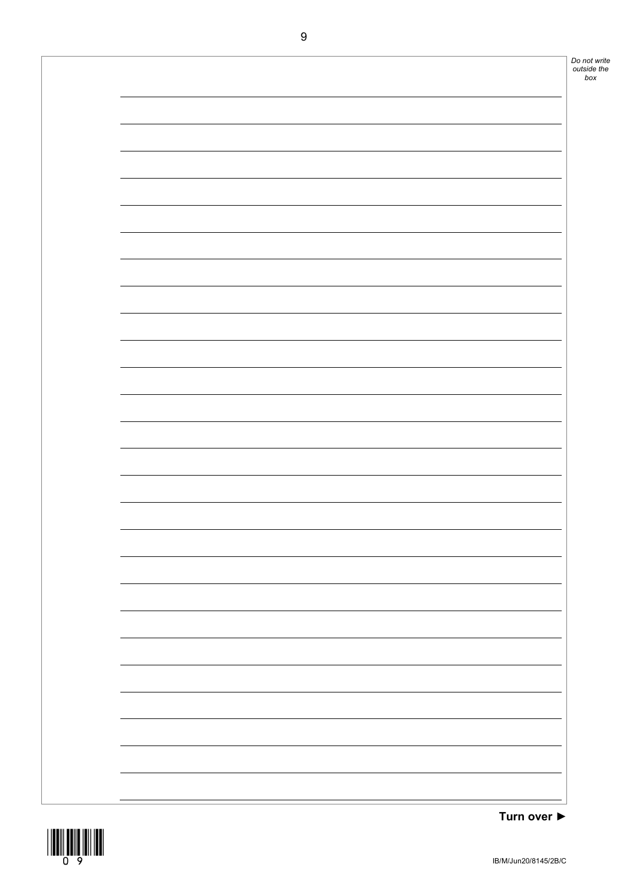

 $\begin{array}{c} \begin{array}{c} \begin{array}{c} \text{||} \\ \text{||} \end{array} \\ \hline \end{array} \end{array}$ 

**Turn over ►**

*box*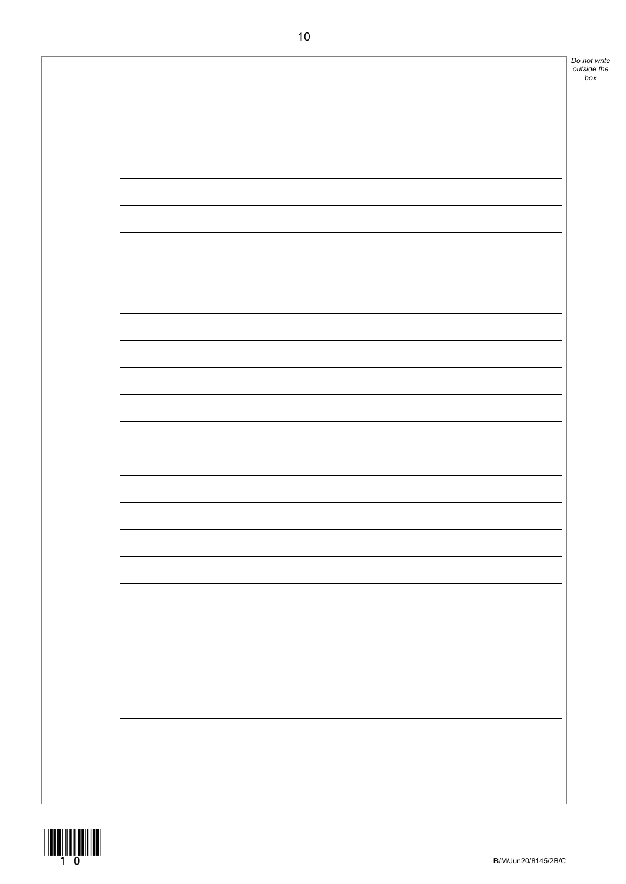



*box*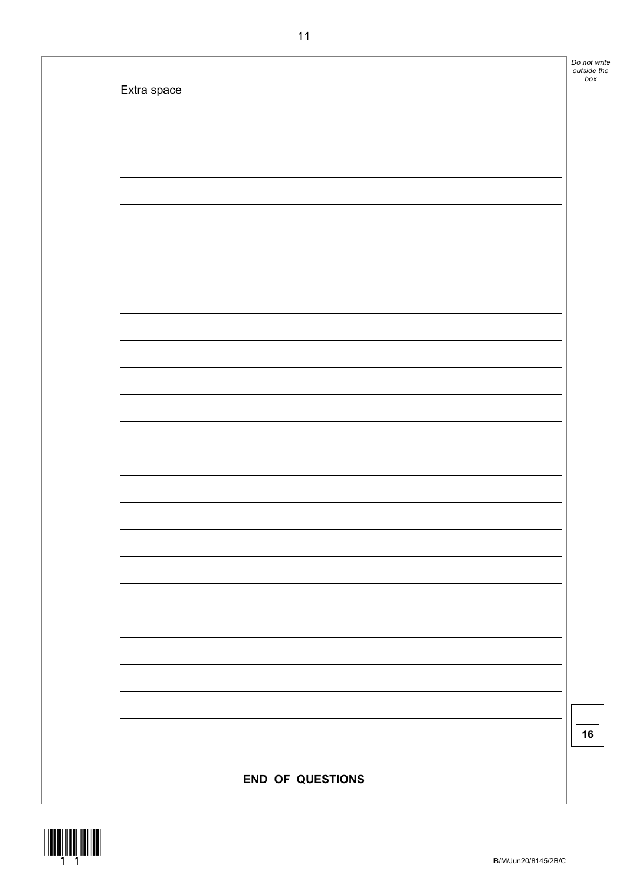|                         | Do not write<br>outside the<br>box |
|-------------------------|------------------------------------|
| Extra space             |                                    |
|                         |                                    |
|                         |                                    |
|                         |                                    |
|                         |                                    |
|                         |                                    |
|                         |                                    |
|                         |                                    |
|                         |                                    |
|                         |                                    |
|                         |                                    |
|                         |                                    |
|                         |                                    |
|                         |                                    |
|                         |                                    |
|                         |                                    |
|                         |                                    |
|                         |                                    |
|                         |                                    |
|                         |                                    |
|                         |                                    |
|                         |                                    |
|                         |                                    |
|                         | 16                                 |
|                         |                                    |
| <b>END OF QUESTIONS</b> |                                    |
|                         |                                    |

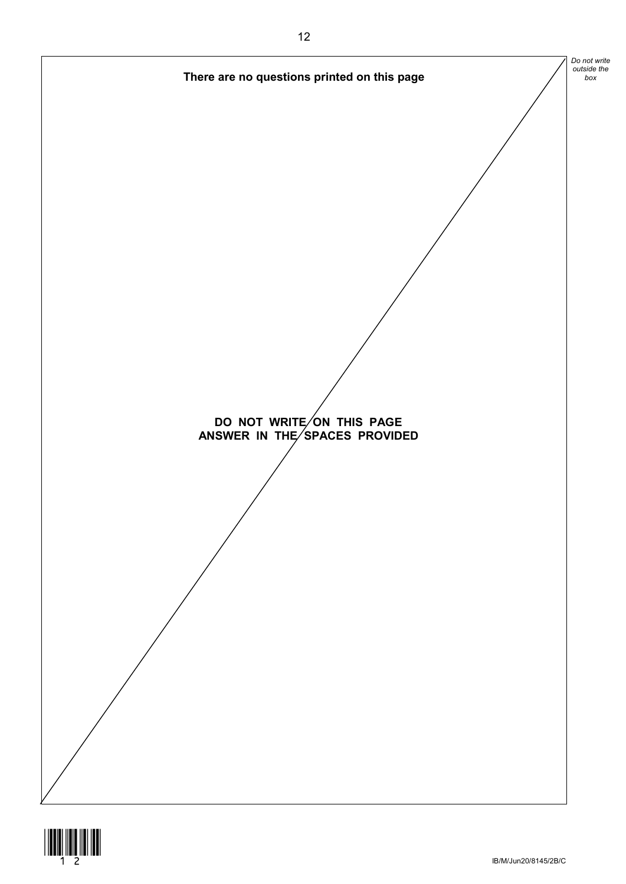

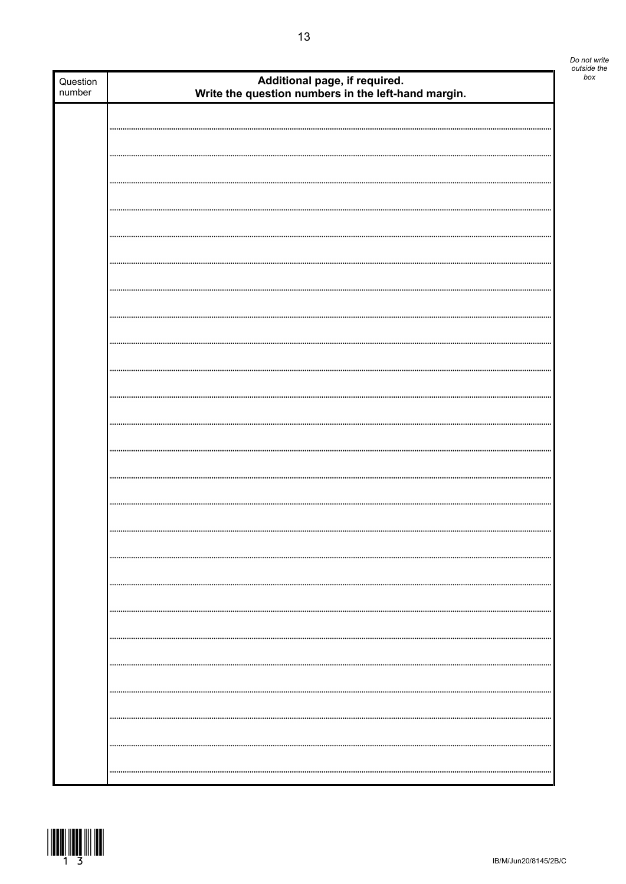| f required.<br>n the left-hand margin. |  |
|----------------------------------------|--|
|                                        |  |
|                                        |  |
|                                        |  |
|                                        |  |
|                                        |  |
| .                                      |  |
|                                        |  |

| Question |                                                                                      |
|----------|--------------------------------------------------------------------------------------|
| number   | Additional page, if required.<br>Write the question numbers in the left-hand margin. |
|          |                                                                                      |
|          |                                                                                      |
|          |                                                                                      |
|          |                                                                                      |
|          |                                                                                      |
|          |                                                                                      |
|          |                                                                                      |
|          |                                                                                      |
|          |                                                                                      |
|          |                                                                                      |
|          |                                                                                      |
|          |                                                                                      |
|          |                                                                                      |
|          |                                                                                      |
|          |                                                                                      |
|          |                                                                                      |
|          |                                                                                      |
|          |                                                                                      |
|          |                                                                                      |
|          |                                                                                      |
|          |                                                                                      |
|          |                                                                                      |
|          |                                                                                      |
|          |                                                                                      |
|          |                                                                                      |
|          |                                                                                      |
|          |                                                                                      |
|          |                                                                                      |
|          |                                                                                      |
|          |                                                                                      |
|          |                                                                                      |
|          |                                                                                      |
|          |                                                                                      |
|          |                                                                                      |
|          |                                                                                      |
|          |                                                                                      |
|          |                                                                                      |
|          |                                                                                      |
|          |                                                                                      |
|          |                                                                                      |
|          |                                                                                      |
|          |                                                                                      |
|          |                                                                                      |
|          |                                                                                      |
|          |                                                                                      |
|          |                                                                                      |
|          |                                                                                      |
|          |                                                                                      |
|          |                                                                                      |
|          |                                                                                      |

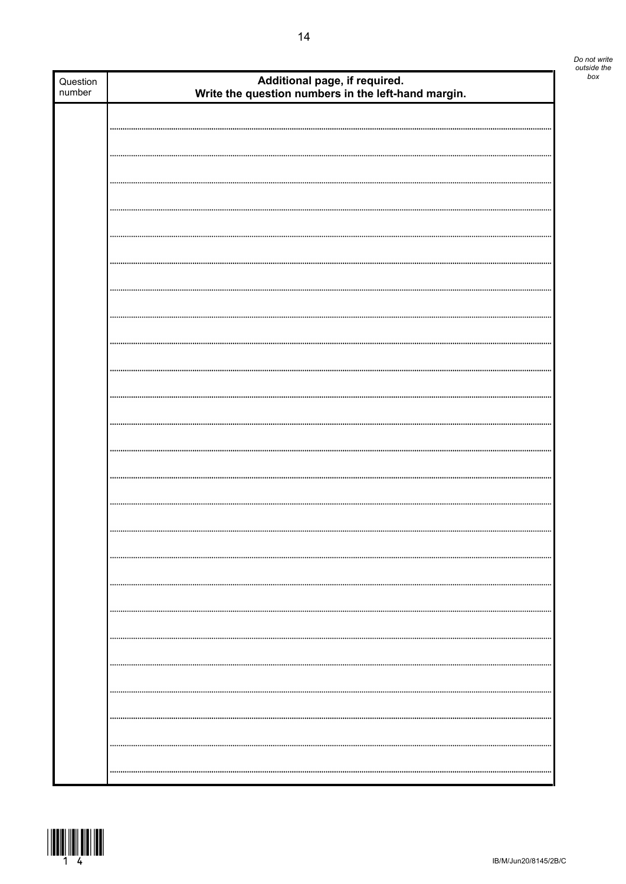| Question<br>number | Additional page, if required.<br>Write the question numbers in the left-hand margin. | box |
|--------------------|--------------------------------------------------------------------------------------|-----|
|                    |                                                                                      |     |
|                    |                                                                                      |     |
|                    |                                                                                      |     |
|                    |                                                                                      |     |
|                    |                                                                                      |     |
|                    |                                                                                      |     |
|                    |                                                                                      |     |
|                    |                                                                                      |     |
|                    |                                                                                      |     |
|                    |                                                                                      |     |
|                    |                                                                                      |     |
|                    |                                                                                      |     |
|                    |                                                                                      |     |
|                    |                                                                                      |     |
|                    |                                                                                      |     |
|                    |                                                                                      |     |
|                    |                                                                                      |     |
|                    |                                                                                      |     |
|                    |                                                                                      |     |
|                    |                                                                                      |     |
|                    |                                                                                      |     |
|                    |                                                                                      |     |
|                    |                                                                                      |     |
|                    |                                                                                      |     |
|                    |                                                                                      |     |
|                    |                                                                                      |     |
|                    |                                                                                      |     |
|                    |                                                                                      |     |
|                    |                                                                                      |     |
|                    |                                                                                      |     |
|                    |                                                                                      |     |
|                    |                                                                                      |     |
|                    |                                                                                      |     |
|                    |                                                                                      |     |
|                    |                                                                                      |     |
|                    |                                                                                      |     |
|                    |                                                                                      |     |
|                    |                                                                                      |     |
|                    |                                                                                      |     |
|                    |                                                                                      |     |
|                    |                                                                                      |     |
|                    |                                                                                      |     |
|                    |                                                                                      |     |

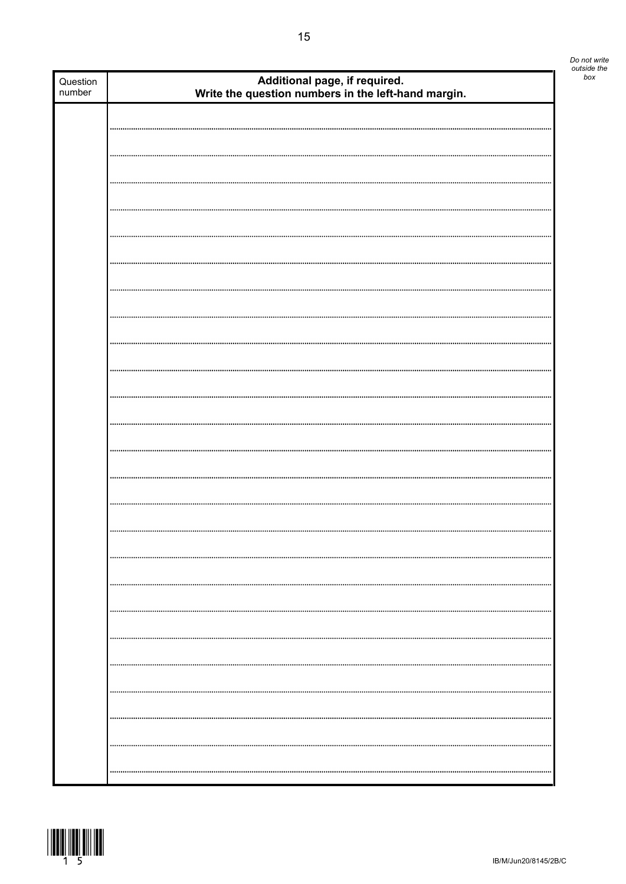| Question<br>number | Additional page, if required.<br>Write the question numbers in the left-hand margin. |
|--------------------|--------------------------------------------------------------------------------------|
|                    |                                                                                      |
|                    |                                                                                      |
|                    |                                                                                      |
|                    |                                                                                      |
|                    |                                                                                      |
|                    |                                                                                      |
|                    |                                                                                      |
|                    |                                                                                      |
|                    |                                                                                      |
|                    |                                                                                      |
|                    |                                                                                      |
|                    |                                                                                      |
|                    |                                                                                      |
|                    |                                                                                      |
|                    |                                                                                      |

| number | Write the question numbers in the left-hand margin. |
|--------|-----------------------------------------------------|
|        |                                                     |
|        |                                                     |
|        |                                                     |
|        |                                                     |
|        |                                                     |
|        |                                                     |
|        |                                                     |
|        |                                                     |
|        |                                                     |
|        |                                                     |
|        |                                                     |
|        |                                                     |
|        |                                                     |
|        |                                                     |
|        |                                                     |
|        |                                                     |
|        |                                                     |
|        |                                                     |
|        |                                                     |
|        |                                                     |
|        |                                                     |
|        |                                                     |
|        |                                                     |
|        |                                                     |
|        |                                                     |
|        |                                                     |
|        |                                                     |
|        |                                                     |
|        |                                                     |
|        |                                                     |
|        |                                                     |
|        |                                                     |
|        |                                                     |
|        | <br>                                                |
|        |                                                     |
|        |                                                     |